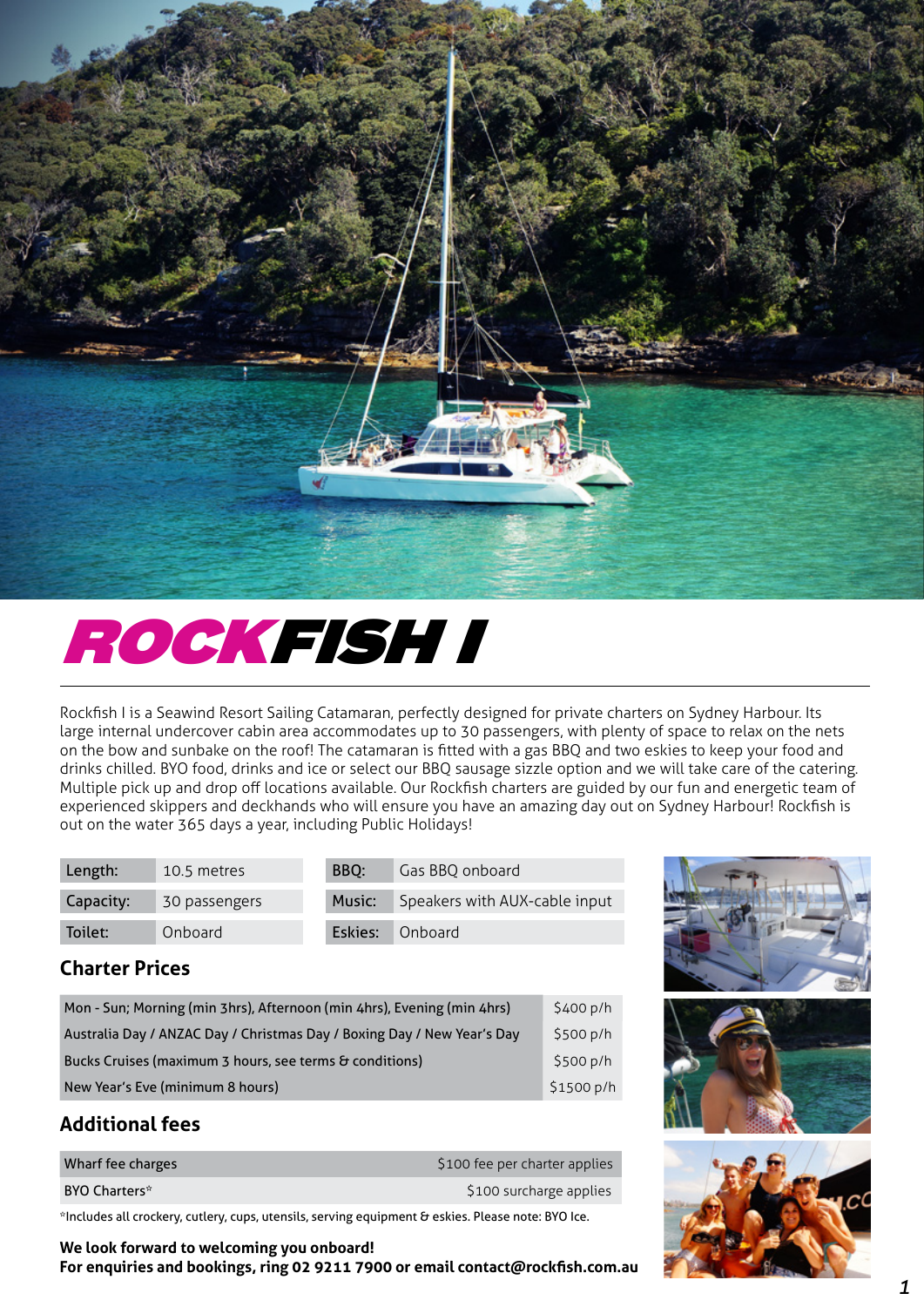

# ROCKFISH I

Rockfish I is a Seawind Resort Sailing Catamaran, perfectly designed for private charters on Sydney Harbour. Its large internal undercover cabin area accommodates up to 30 passengers, with plenty of space to relax on the nets on the bow and sunbake on the roof! The catamaran is fitted with a gas BBQ and two eskies to keep your food and drinks chilled. BYO food, drinks and ice or select our BBQ sausage sizzle option and we will take care of the catering. Multiple pick up and drop off locations available. Our Rockfish charters are guided by our fun and energetic team of experienced skippers and deckhands who will ensure you have an amazing day out on Sydney Harbour! Rockfish is out on the water 365 days a year, including Public Holidays!

| Length:   | 10.5 metres   | BBO: | Gas BBQ onboard                      |
|-----------|---------------|------|--------------------------------------|
| Capacity: | 30 passengers |      | Music: Speakers with AUX-cable input |
| Toilet:   | Onboard       |      | Eskies: Onboard                      |

### **Charter Prices**

| Mon - Sun; Morning (min 3hrs), Afternoon (min 4hrs), Evening (min 4hrs) |            |
|-------------------------------------------------------------------------|------------|
| Australia Day / ANZAC Day / Christmas Day / Boxing Day / New Year's Day | \$500 p/h  |
| Bucks Cruises (maximum 3 hours, see terms & conditions)                 | \$500 p/h  |
| New Year's Eve (minimum 8 hours)                                        | \$1500 p/h |

### **Additional fees**

| Wharf fee charges    | \$100 fee per charter applies |
|----------------------|-------------------------------|
| <b>BYO Charters*</b> | \$100 surcharge applies       |

\*Includes all crockery, cutlery, cups, utensils, serving equipment & eskies. Please note: BYO Ice.

**We look forward to welcoming you onboard! For enquiries and bookings, ring 02 9211 7900 or email contact@rockfish.com.au**